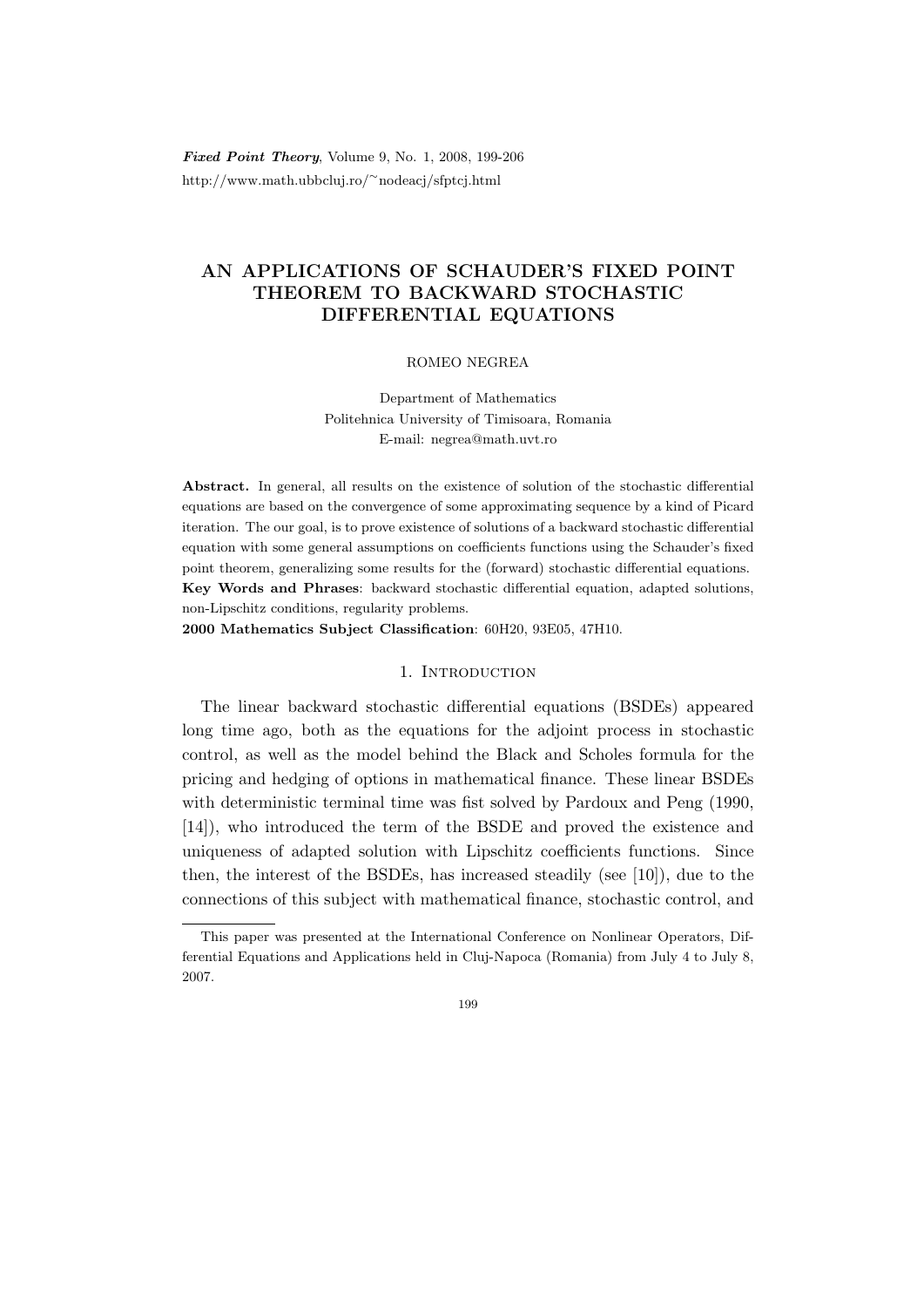Fixed Point Theory, Volume 9, No. 1, 2008, 199-206 http://www.math.ubbcluj.ro/<sup>∼</sup>nodeacj/sfptcj.html

# AN APPLICATIONS OF SCHAUDER'S FIXED POINT THEOREM TO BACKWARD STOCHASTIC DIFFERENTIAL EQUATIONS

### ROMEO NEGREA

Department of Mathematics Politehnica University of Timisoara, Romania E-mail: negrea@math.uvt.ro

Abstract. In general, all results on the existence of solution of the stochastic differential equations are based on the convergence of some approximating sequence by a kind of Picard iteration. The our goal, is to prove existence of solutions of a backward stochastic differential equation with some general assumptions on coefficients functions using the Schauder's fixed point theorem, generalizing some results for the (forward) stochastic differential equations. Key Words and Phrases: backward stochastic differential equation, adapted solutions, non-Lipschitz conditions, regularity problems.

2000 Mathematics Subject Classification: 60H20, 93E05, 47H10.

### 1. Introduction

The linear backward stochastic differential equations (BSDEs) appeared long time ago, both as the equations for the adjoint process in stochastic control, as well as the model behind the Black and Scholes formula for the pricing and hedging of options in mathematical finance. These linear BSDEs with deterministic terminal time was fist solved by Pardoux and Peng (1990, [14]), who introduced the term of the BSDE and proved the existence and uniqueness of adapted solution with Lipschitz coefficients functions. Since then, the interest of the BSDEs, has increased steadily (see [10]), due to the connections of this subject with mathematical finance, stochastic control, and

199

This paper was presented at the International Conference on Nonlinear Operators, Differential Equations and Applications held in Cluj-Napoca (Romania) from July 4 to July 8, 2007.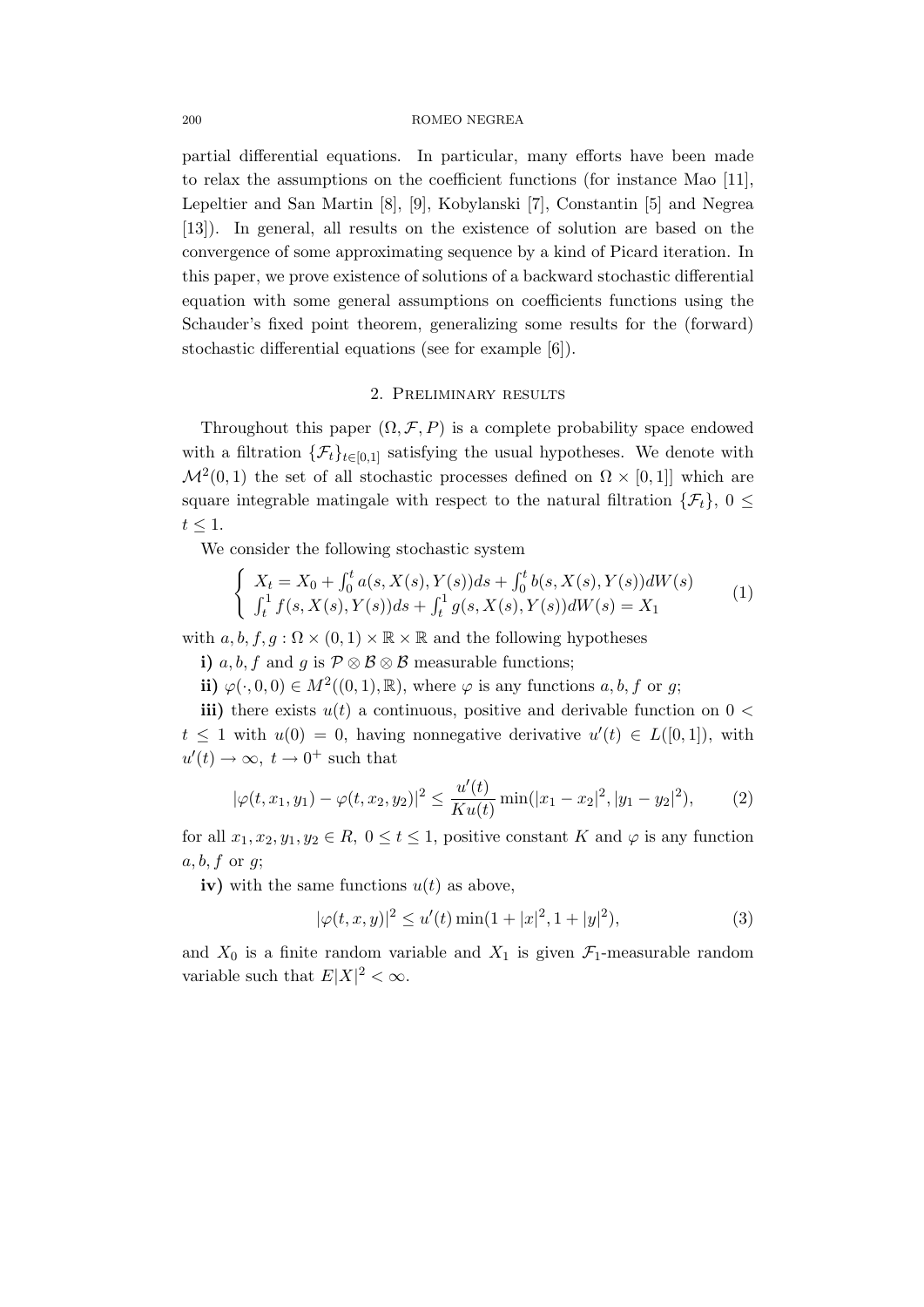#### 200 ROMEO NEGREA

partial differential equations. In particular, many efforts have been made to relax the assumptions on the coefficient functions (for instance Mao [11], Lepeltier and San Martin [8], [9], Kobylanski [7], Constantin [5] and Negrea [13]). In general, all results on the existence of solution are based on the convergence of some approximating sequence by a kind of Picard iteration. In this paper, we prove existence of solutions of a backward stochastic differential equation with some general assumptions on coefficients functions using the Schauder's fixed point theorem, generalizing some results for the (forward) stochastic differential equations (see for example [6]).

## 2. Preliminary results

Throughout this paper  $(\Omega, \mathcal{F}, P)$  is a complete probability space endowed with a filtration  $\{\mathcal{F}_t\}_{t\in[0,1]}$  satisfying the usual hypotheses. We denote with  $\mathcal{M}^2(0,1)$  the set of all stochastic processes defined on  $\Omega \times [0,1]$  which are square integrable matingale with respect to the natural filtration  $\{\mathcal{F}_t\}, 0 \leq$  $t \leq 1$ .

We consider the following stochastic system

$$
\begin{cases}\nX_t = X_0 + \int_0^t a(s, X(s), Y(s))ds + \int_0^t b(s, X(s), Y(s))dW(s) \\
\int_t^1 f(s, X(s), Y(s))ds + \int_t^1 g(s, X(s), Y(s))dW(s) = X_1\n\end{cases}
$$
\n(1)

with  $a, b, f, g : \Omega \times (0, 1) \times \mathbb{R} \times \mathbb{R}$  and the following hypotheses

i) a, b, f and g is  $\mathcal{P} \otimes \mathcal{B} \otimes \mathcal{B}$  measurable functions;

ii)  $\varphi(\cdot,0,0) \in M^2((0,1),\mathbb{R})$ , where  $\varphi$  is any functions  $a, b, f$  or g;

iii) there exists  $u(t)$  a continuous, positive and derivable function on  $0 <$  $t \leq 1$  with  $u(0) = 0$ , having nonnegative derivative  $u'(t) \in L([0,1])$ , with  $u'(t) \to \infty$ ,  $t \to 0^+$  such that

$$
|\varphi(t, x_1, y_1) - \varphi(t, x_2, y_2)|^2 \le \frac{u'(t)}{K u(t)} \min(|x_1 - x_2|^2, |y_1 - y_2|^2), \tag{2}
$$

for all  $x_1, x_2, y_1, y_2 \in R$ ,  $0 \le t \le 1$ , positive constant K and  $\varphi$  is any function  $a, b, f \text{ or } q;$ 

iv) with the same functions  $u(t)$  as above,

$$
|\varphi(t, x, y)|^2 \le u'(t) \min(1+|x|^2, 1+|y|^2), \tag{3}
$$

and  $X_0$  is a finite random variable and  $X_1$  is given  $\mathcal{F}_1$ -measurable random variable such that  $E|X|^2 < \infty$ .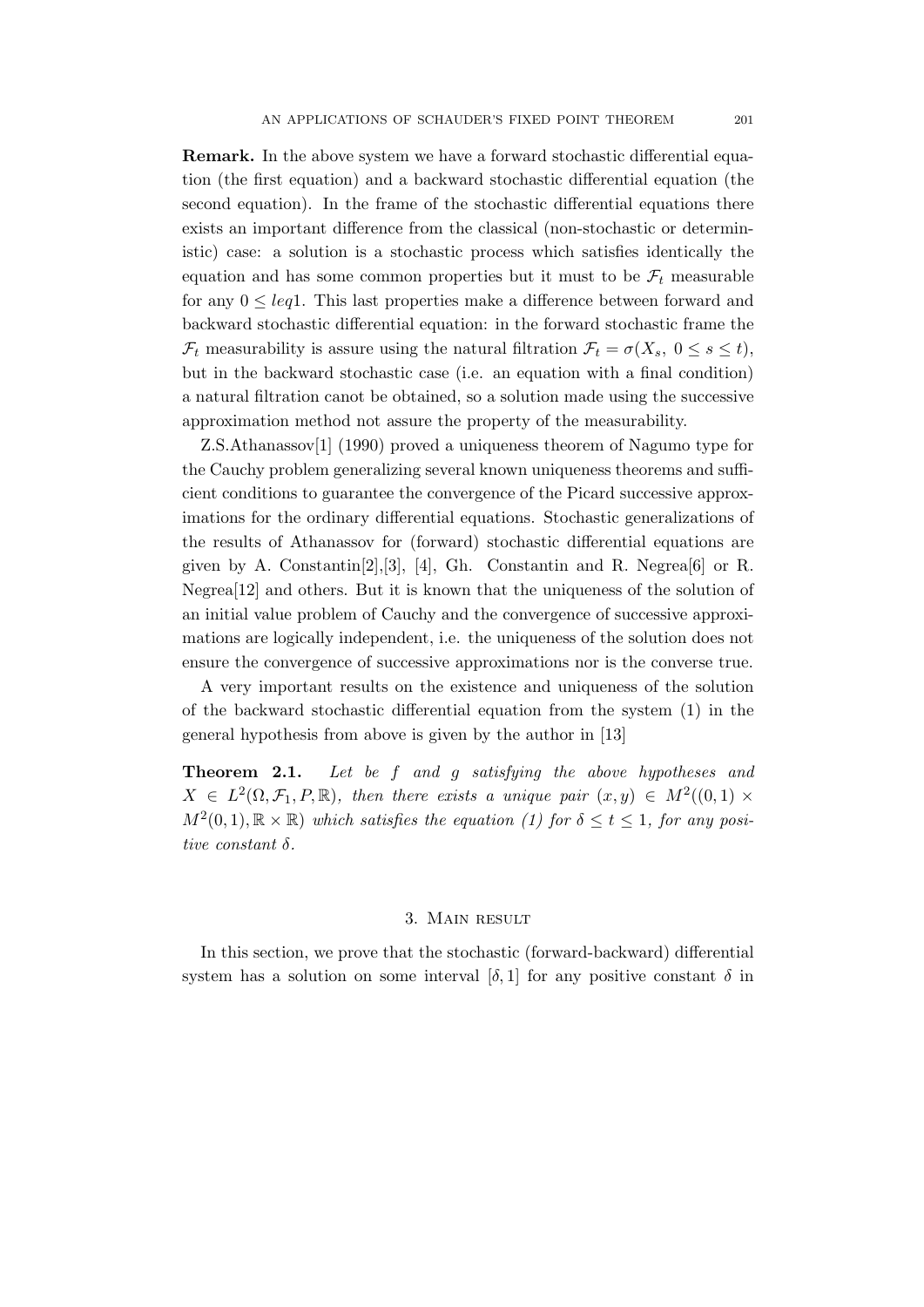Remark. In the above system we have a forward stochastic differential equation (the first equation) and a backward stochastic differential equation (the second equation). In the frame of the stochastic differential equations there exists an important difference from the classical (non-stochastic or deterministic) case: a solution is a stochastic process which satisfies identically the equation and has some common properties but it must to be  $\mathcal{F}_t$  measurable for any  $0 \leq \text{leq} 1$ . This last properties make a difference between forward and backward stochastic differential equation: in the forward stochastic frame the  $\mathcal{F}_t$  measurability is assure using the natural filtration  $\mathcal{F}_t = \sigma(X_s, 0 \le s \le t)$ , but in the backward stochastic case (i.e. an equation with a final condition) a natural filtration canot be obtained, so a solution made using the successive approximation method not assure the property of the measurability.

Z.S.Athanassov[1] (1990) proved a uniqueness theorem of Nagumo type for the Cauchy problem generalizing several known uniqueness theorems and sufficient conditions to guarantee the convergence of the Picard successive approximations for the ordinary differential equations. Stochastic generalizations of the results of Athanassov for (forward) stochastic differential equations are given by A. Constantin $[2], [3], [4],$  Gh. Constantin and R. Negrea $[6]$  or R. Negrea[12] and others. But it is known that the uniqueness of the solution of an initial value problem of Cauchy and the convergence of successive approximations are logically independent, i.e. the uniqueness of the solution does not ensure the convergence of successive approximations nor is the converse true.

A very important results on the existence and uniqueness of the solution of the backward stochastic differential equation from the system (1) in the general hypothesis from above is given by the author in [13]

Theorem 2.1. Let be f and g satisfying the above hypotheses and  $X \in L^2(\Omega, \mathcal{F}_1, P, \mathbb{R})$ , then there exists a unique pair  $(x, y) \in M^2((0, 1) \times$  $M^2(0,1), \mathbb{R} \times \mathbb{R}$  which satisfies the equation (1) for  $\delta \leq t \leq 1$ , for any positive constant δ.

### 3. Main result

In this section, we prove that the stochastic (forward-backward) differential system has a solution on some interval  $[\delta, 1]$  for any positive constant  $\delta$  in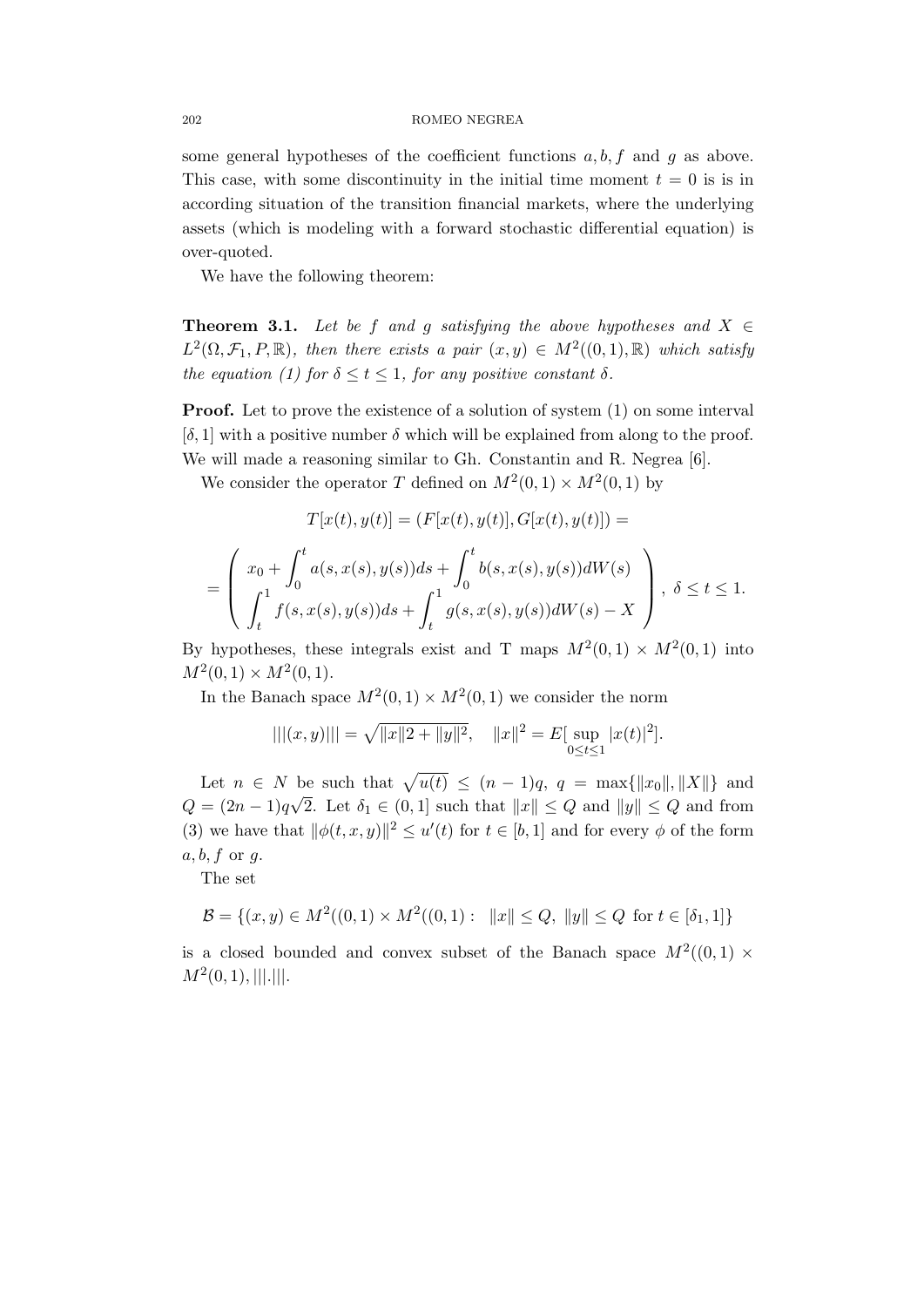some general hypotheses of the coefficient functions  $a, b, f$  and g as above. This case, with some discontinuity in the initial time moment  $t = 0$  is is in according situation of the transition financial markets, where the underlying assets (which is modeling with a forward stochastic differential equation) is over-quoted.

We have the following theorem:

**Theorem 3.1.** Let be f and g satisfying the above hypotheses and  $X \in$  $L^2(\Omega, \mathcal{F}_1, P, \mathbb{R})$ , then there exists a pair  $(x, y) \in M^2((0, 1), \mathbb{R})$  which satisfy the equation (1) for  $\delta \leq t \leq 1$ , for any positive constant  $\delta$ .

**Proof.** Let to prove the existence of a solution of system (1) on some interval  $[\delta, 1]$  with a positive number  $\delta$  which will be explained from along to the proof. We will made a reasoning similar to Gh. Constantin and R. Negrea [6].

We consider the operator T defined on  $M^2(0,1) \times M^2(0,1)$  by

$$
T[x(t), y(t)] = (F[x(t), y(t)], G[x(t), y(t)]) =
$$
  
= 
$$
\begin{pmatrix} x_0 + \int_0^t a(s, x(s), y(s))ds + \int_0^t b(s, x(s), y(s))dW(s) \\ \int_t^1 f(s, x(s), y(s))ds + \int_t^1 g(s, x(s), y(s))dW(s) - X \end{pmatrix}, \delta \le t \le 1.
$$

By hypotheses, these integrals exist and T maps  $M^2(0,1) \times M^2(0,1)$  into  $M^2(0,1) \times M^2(0,1).$ 

In the Banach space  $M^2(0,1) \times M^2(0,1)$  we consider the norm

$$
|||(x,y)||| = \sqrt{||x||2+||y||^2}, \quad ||x||^2 = E[\sup_{0 \le t \le 1} |x(t)|^2].
$$

Let  $n \in N$  be such that  $\sqrt{u(t)} \leq (n-1)q$ ,  $q = \max\{||x_0||, ||X||\}$  and  $Q = (2n - 1)q\sqrt{2}$ . Let  $\delta_1 \in (0, 1]$  such that  $||x|| \le Q$  and  $||y|| \le Q$  and from (3) we have that  $\|\phi(t, x, y)\|^2 \leq u'(t)$  for  $t \in [b, 1]$  and for every  $\phi$  of the form  $a, b, f \text{ or } g.$ 

The set

$$
\mathcal{B} = \{(x, y) \in M^2((0, 1) \times M^2((0, 1) : ||x|| \le Q, ||y|| \le Q \text{ for } t \in [\delta_1, 1]\})
$$

is a closed bounded and convex subset of the Banach space  $M^2((0,1) \times$  $M^2(0,1), |||.|||.$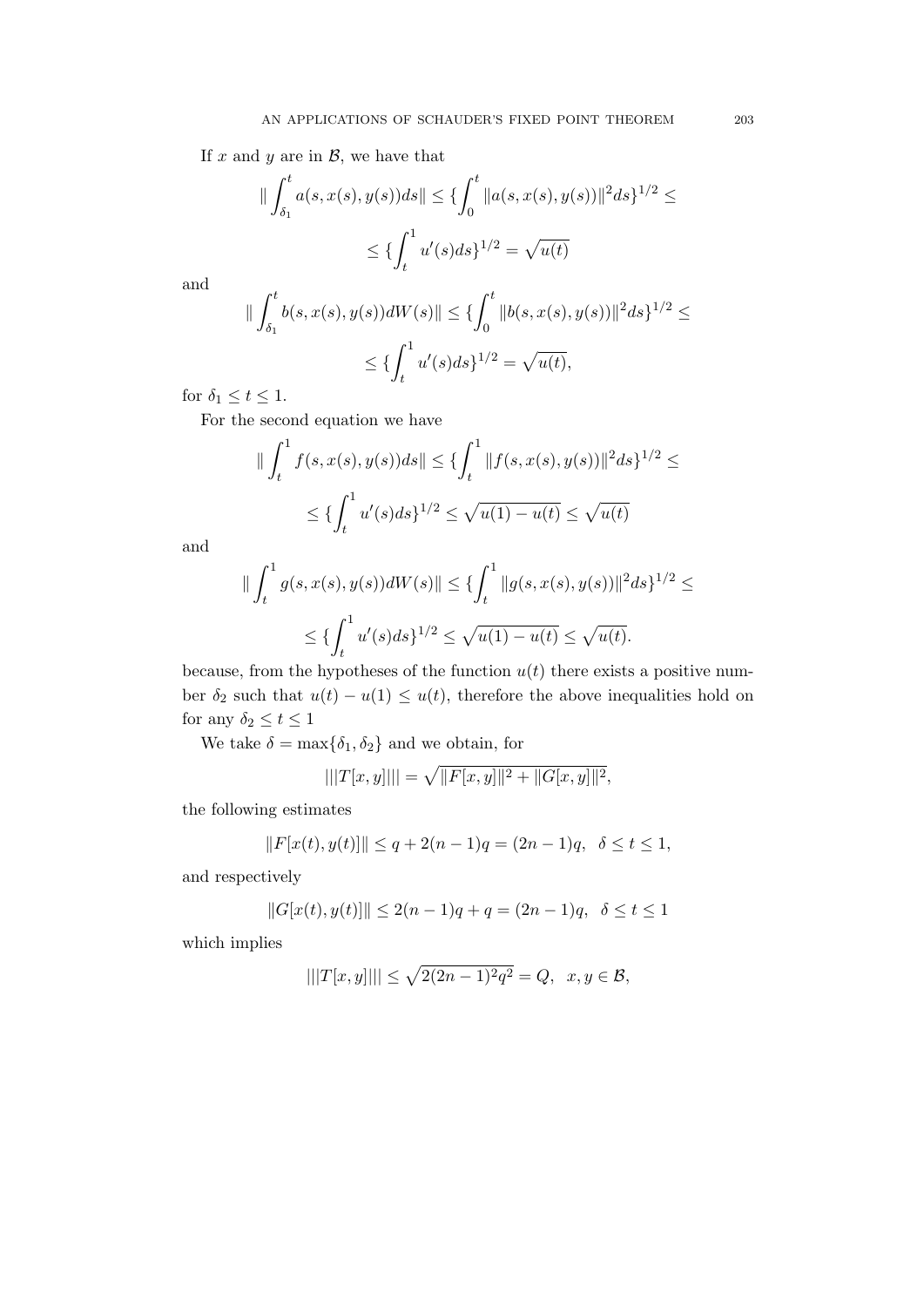If  $x$  and  $y$  are in  $\mathcal{B}$ , we have that

$$
\|\int_{\delta_1}^t a(s, x(s), y(s))ds\| \le \{\int_0^t \|a(s, x(s), y(s))\|^2 ds\}^{1/2} \le
$$
  

$$
\le \{\int_t^1 u'(s)ds\}^{1/2} = \sqrt{u(t)}
$$

and

$$
\|\int_{\delta_1}^t b(s, x(s), y(s))dW(s)\| \le \{\int_0^t \|b(s, x(s), y(s))\|^2 ds\}^{1/2} \le
$$
  

$$
\le \{\int_t^1 u'(s)ds\}^{1/2} = \sqrt{u(t)},
$$

for  $\delta_1 \leq t \leq 1$ .

For the second equation we have

$$
\|\int_t^1 f(s, x(s), y(s))ds\| \le \{\int_t^1 \|f(s, x(s), y(s))\|^2 ds\}^{1/2} \le
$$
  

$$
\le \{\int_t^1 u'(s)ds\}^{1/2} \le \sqrt{u(1) - u(t)} \le \sqrt{u(t)}
$$

and

$$
\|\int_t^1 g(s, x(s), y(s))dW(s)\| \le \{\int_t^1 \|g(s, x(s), y(s))\|^2 ds\}^{1/2} \le
$$
  

$$
\le \{\int_t^1 u'(s)ds\}^{1/2} \le \sqrt{u(1) - u(t)} \le \sqrt{u(t)}.
$$

because, from the hypotheses of the function  $u(t)$  there exists a positive number  $\delta_2$  such that  $u(t) - u(1) \leq u(t)$ , therefore the above inequalities hold on for any  $\delta_2 \leq t \leq 1$ 

We take  $\delta = \max{\delta_1, \delta_2}$  and we obtain, for

$$
|||T[x,y]||| = \sqrt{||F[x,y]||^2 + ||G[x,y]||^2},
$$

the following estimates

$$
||F[x(t), y(t)]|| \le q + 2(n - 1)q = (2n - 1)q, \ \ \delta \le t \le 1,
$$

and respectively

$$
||G[x(t), y(t)]|| \le 2(n-1)q + q = (2n - 1)q, \ \ \delta \le t \le 1
$$

which implies

$$
|||T[x,y]||| \le \sqrt{2(2n-1)^2 q^2} = Q, \ \ x, y \in \mathcal{B},
$$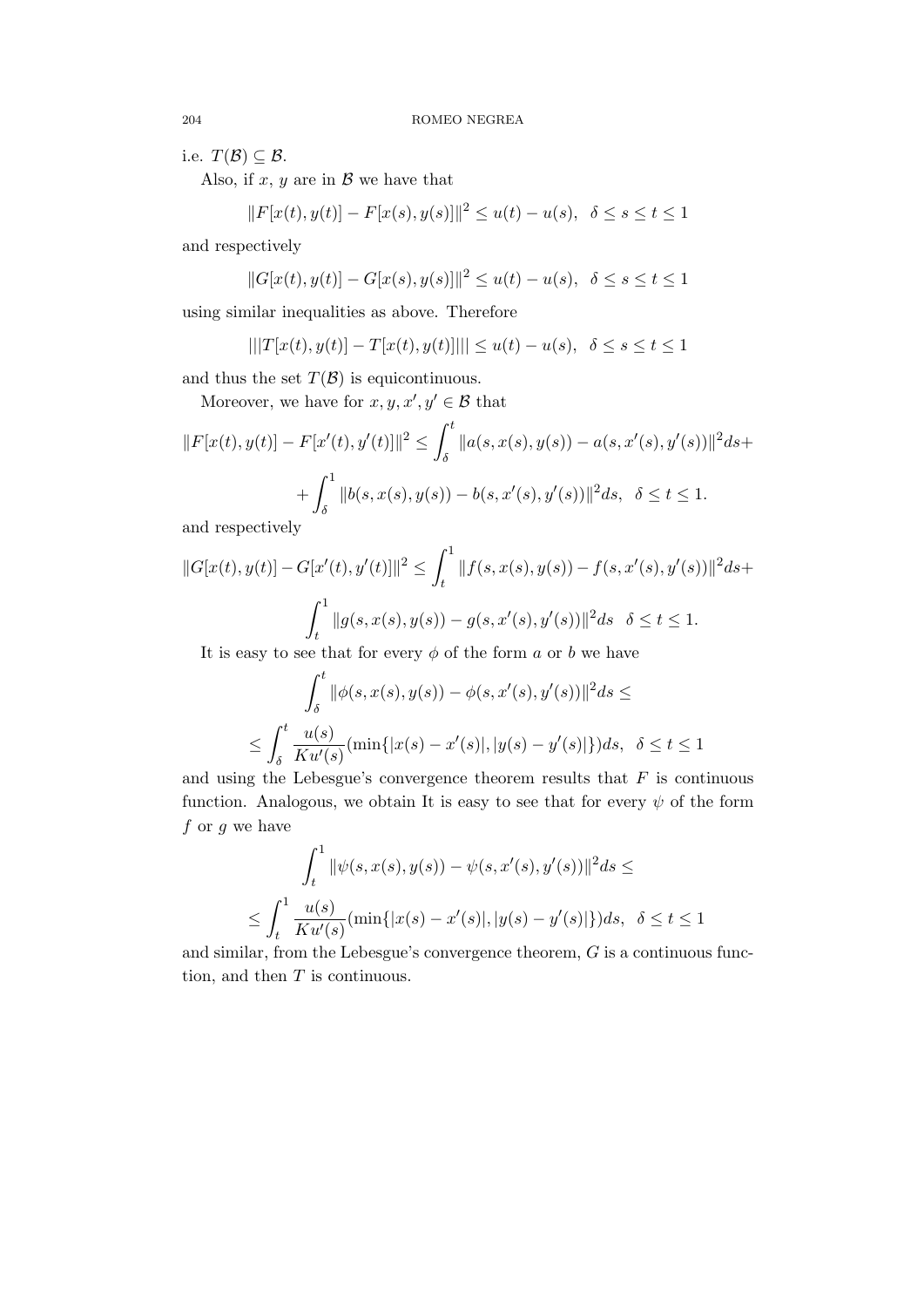i.e.  $T(\mathcal{B}) \subseteq \mathcal{B}$ .

Also, if  $x, y$  are in  $\beta$  we have that

$$
||F[x(t), y(t)] - F[x(s), y(s)]||^2 \le u(t) - u(s), \ \ \delta \le s \le t \le 1
$$

and respectively

$$
||G[x(t),y(t)]-G[x(s),y(s)]||^2\leq u(t)-u(s),\;\;\delta\leq s\leq t\leq 1
$$

using similar inequalities as above. Therefore

$$
|||T[x(t), y(t)] - T[x(t), y(t)]||| \le u(t) - u(s), \ \ \delta \le s \le t \le 1
$$

and thus the set  $T(\mathcal{B})$  is equicontinuous.

Moreover, we have for  $x, y, x', y' \in \mathcal{B}$  that

$$
||F[x(t), y(t)] - F[x'(t), y'(t)]||^2 \le \int_{\delta}^t ||a(s, x(s), y(s)) - a(s, x'(s), y'(s))||^2 ds +
$$
  
+ 
$$
\int_{\delta}^1 ||b(s, x(s), y(s)) - b(s, x'(s), y'(s))||^2 ds, \ \delta \le t \le 1.
$$

and respectively

$$
||G[x(t), y(t)] - G[x'(t), y'(t)]||^2 \le \int_t^1 ||f(s, x(s), y(s)) - f(s, x'(s), y'(s))||^2 ds +
$$
  

$$
\int_t^1 ||g(s, x(s), y(s)) - g(s, x'(s), y'(s))||^2 ds \quad \delta \le t \le 1.
$$

It is easy to see that for every  $\phi$  of the form a or b we have

$$
\int_{\delta}^{t} ||\phi(s, x(s), y(s)) - \phi(s, x'(s), y'(s))||^{2} ds \le
$$
  

$$
\leq \int_{\delta}^{t} \frac{u(s)}{K u'(s)} (\min\{|x(s) - x'(s)|, |y(s) - y'(s)|\}) ds, \ \delta \leq t \leq 1
$$

and using the Lebesgue's convergence theorem results that  $F$  is continuous function. Analogous, we obtain It is easy to see that for every  $\psi$  of the form  $f$  or  $g$  we have

$$
\int_{t}^{1} \|\psi(s, x(s), y(s)) - \psi(s, x'(s), y'(s))\|^{2} ds \le
$$
  

$$
\leq \int_{t}^{1} \frac{u(s)}{K u'(s)} (\min\{|x(s) - x'(s)|, |y(s) - y'(s)|\}) ds, \ \delta \leq t \leq 1
$$

and similar, from the Lebesgue's convergence theorem, G is a continuous function, and then  $T$  is continuous.